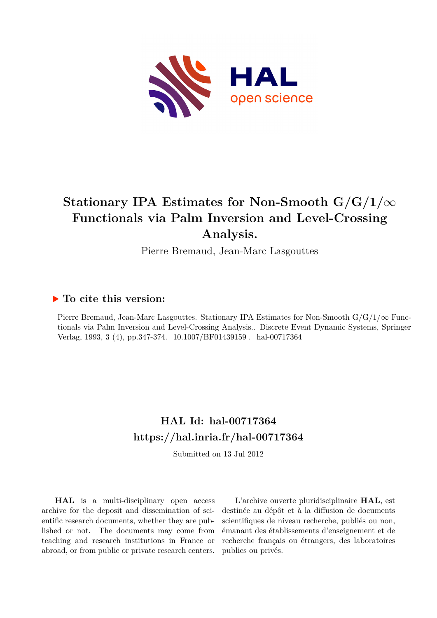

# **Stationary IPA Estimates for Non-Smooth G/G/1/***∞* **Functionals via Palm Inversion and Level-Crossing Analysis.**

Pierre Bremaud, Jean-Marc Lasgouttes

# **To cite this version:**

Pierre Bremaud, Jean-Marc Lasgouttes. Stationary IPA Estimates for Non-Smooth G/G/1/*∞* Functionals via Palm Inversion and Level-Crossing Analysis.. Discrete Event Dynamic Systems, Springer Verlag, 1993, 3 (4), pp.347-374. 10.1007/BF01439159 . hal-00717364

# **HAL Id: hal-00717364 <https://hal.inria.fr/hal-00717364>**

Submitted on 13 Jul 2012

**HAL** is a multi-disciplinary open access archive for the deposit and dissemination of scientific research documents, whether they are published or not. The documents may come from teaching and research institutions in France or abroad, or from public or private research centers.

L'archive ouverte pluridisciplinaire **HAL**, est destinée au dépôt et à la diffusion de documents scientifiques de niveau recherche, publiés ou non, émanant des établissements d'enseignement et de recherche français ou étrangers, des laboratoires publics ou privés.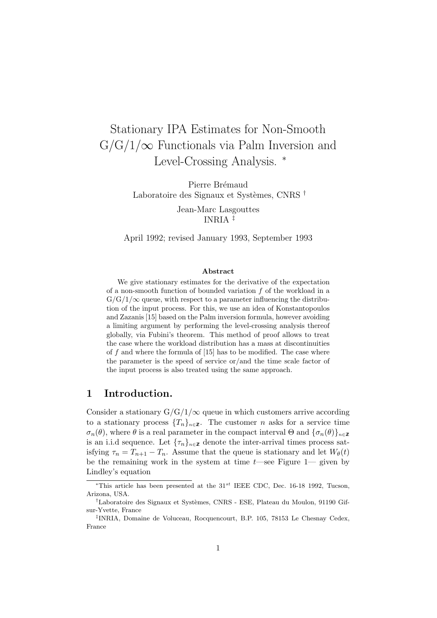# Stationary IPA Estimates for Non-Smooth  $G/G/1/\infty$  Functionals via Palm Inversion and Level-Crossing Analysis. <sup>∗</sup>

Pierre Brémaud Laboratoire des Signaux et Systèmes, CNRS  $^\dagger$ 

> Jean-Marc Lasgouttes INRIA ‡

April 1992; revised January 1993, September 1993

#### Abstract

We give stationary estimates for the derivative of the expectation of a non-smooth function of bounded variation  $f$  of the workload in a  $G/G/1/\infty$  queue, with respect to a parameter influencing the distribution of the input process. For this, we use an idea of Konstantopoulos and Zazanis [15] based on the Palm inversion formula, however avoiding a limiting argument by performing the level-crossing analysis thereof globally, via Fubini's theorem. This method of proof allows to treat the case where the workload distribution has a mass at discontinuities of  $f$  and where the formula of  $[15]$  has to be modified. The case where the parameter is the speed of service or/and the time scale factor of the input process is also treated using the same approach.

### 1 Introduction.

Consider a stationary  $G/G/1/\infty$  queue in which customers arrive according to a stationary process  $\{T_n\}_{n\in\mathbb{Z}}$ . The customer n asks for a service time  $\sigma_n(\theta)$ , where  $\theta$  is a real parameter in the compact interval  $\Theta$  and  $\{\sigma_n(\theta)\}_{n\in\mathbb{Z}}$ is an i.i.d sequence. Let  ${\{\tau_n\}}_{n\in\mathbb{Z}}$  denote the inter-arrival times process satisfying  $\tau_n = T_{n+1} - T_n$ . Assume that the queue is stationary and let  $W_{\theta}(t)$ be the remaining work in the system at time  $t$ —see Figure 1— given by Lindley's equation

<sup>\*</sup>This article has been presented at the  $31^{st}$  IEEE CDC, Dec. 16-18 1992, Tucson, Arizona, USA.

<sup>&</sup>lt;sup>†</sup>Laboratoire des Signaux et Systèmes, CNRS - ESE, Plateau du Moulon, 91190 Gifsur-Yvette, France

<sup>‡</sup> INRIA, Domaine de Voluceau, Rocquencourt, B.P. 105, 78153 Le Chesnay Cedex, France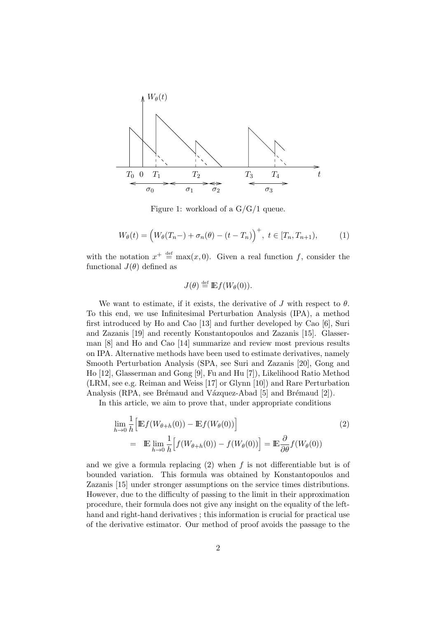

Figure 1: workload of a G/G/1 queue.

$$
W_{\theta}(t) = (W_{\theta}(T_n -) + \sigma_n(\theta) - (t - T_n))^{+}, \ t \in [T_n, T_{n+1}), \tag{1}
$$

with the notation  $x^+ \stackrel{\text{def}}{=} \max(x, 0)$ . Given a real function f, consider the functional  $J(\theta)$  defined as

$$
J(\theta) \stackrel{\text{def}}{=} \mathbb{E} f(W_{\theta}(0)).
$$

We want to estimate, if it exists, the derivative of J with respect to  $\theta$ . To this end, we use Infinitesimal Perturbation Analysis (IPA), a method first introduced by Ho and Cao [13] and further developed by Cao [6], Suri and Zazanis [19] and recently Konstantopoulos and Zazanis [15]. Glasserman [8] and Ho and Cao [14] summarize and review most previous results on IPA. Alternative methods have been used to estimate derivatives, namely Smooth Perturbation Analysis (SPA, see Suri and Zazanis [20], Gong and Ho [12], Glasserman and Gong [9], Fu and Hu [7]), Likelihood Ratio Method (LRM, see e.g. Reiman and Weiss [17] or Glynn [10]) and Rare Perturbation Analysis (RPA, see Brémaud and Vázquez-Abad [5] and Brémaud [2]).

In this article, we aim to prove that, under appropriate conditions

$$
\lim_{h \to 0} \frac{1}{h} \Big[ \mathbb{E} f(W_{\theta+h}(0)) - \mathbb{E} f(W_{\theta}(0)) \Big]
$$
\n
$$
= \mathbb{E} \lim_{h \to 0} \frac{1}{h} \Big[ f(W_{\theta+h}(0)) - f(W_{\theta}(0)) \Big] = \mathbb{E} \frac{\partial}{\partial \theta} f(W_{\theta}(0))
$$
\n(2)

and we give a formula replacing  $(2)$  when f is not differentiable but is of bounded variation. This formula was obtained by Konstantopoulos and Zazanis [15] under stronger assumptions on the service times distributions. However, due to the difficulty of passing to the limit in their approximation procedure, their formula does not give any insight on the equality of the lefthand and right-hand derivatives ; this information is crucial for practical use of the derivative estimator. Our method of proof avoids the passage to the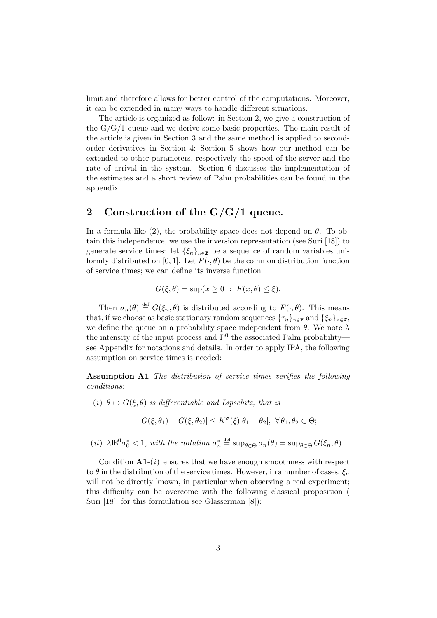limit and therefore allows for better control of the computations. Moreover, it can be extended in many ways to handle different situations.

The article is organized as follow: in Section 2, we give a construction of the  $G/G/1$  queue and we derive some basic properties. The main result of the article is given in Section 3 and the same method is applied to secondorder derivatives in Section 4; Section 5 shows how our method can be extended to other parameters, respectively the speed of the server and the rate of arrival in the system. Section 6 discusses the implementation of the estimates and a short review of Palm probabilities can be found in the appendix.

## 2 Construction of the  $G/G/1$  queue.

In a formula like (2), the probability space does not depend on  $\theta$ . To obtain this independence, we use the inversion representation (see Suri [18]) to generate service times: let  $\{\xi_n\}_{n\in\mathbb{Z}}$  be a sequence of random variables uniformly distributed on [0, 1]. Let  $F(\cdot, \theta)$  be the common distribution function of service times; we can define its inverse function

$$
G(\xi, \theta) = \sup(x \ge 0 : F(x, \theta) \le \xi).
$$

Then  $\sigma_n(\theta) \stackrel{\text{def}}{=} G(\xi_n, \theta)$  is distributed according to  $F(\cdot, \theta)$ . This means that, if we choose as basic stationary random sequences  ${\{\tau_n\}}_{n\in\mathbb{Z}}$  and  ${\{\xi_n\}}_{n\in\mathbb{Z}}$ , we define the queue on a probability space independent from  $\theta$ . We note  $\lambda$ the intensity of the input process and  $P^0$  the associated Palm probability see Appendix for notations and details. In order to apply IPA, the following assumption on service times is needed:

Assumption A1 The distribution of service times verifies the following conditions:

(i)  $\theta \mapsto G(\xi, \theta)$  is differentiable and Lipschitz, that is

$$
|G(\xi,\theta_1)-G(\xi,\theta_2)|\leq K^{\sigma}(\xi)|\theta_1-\theta_2|, \ \forall \theta_1,\theta_2\in\Theta;
$$

(ii)  $\lambda \mathbb{E}^0 \sigma_0^* < 1$ , with the notation  $\sigma_n^* \stackrel{\text{def}}{=} \sup_{\theta \in \Theta} \sigma_n(\theta) = \sup_{\theta \in \Theta} G(\xi_n, \theta)$ .

Condition  $A1-(i)$  ensures that we have enough smoothness with respect to  $\theta$  in the distribution of the service times. However, in a number of cases,  $\xi_n$ will not be directly known, in particular when observing a real experiment; this difficulty can be overcome with the following classical proposition ( Suri [18]; for this formulation see Glasserman [8]):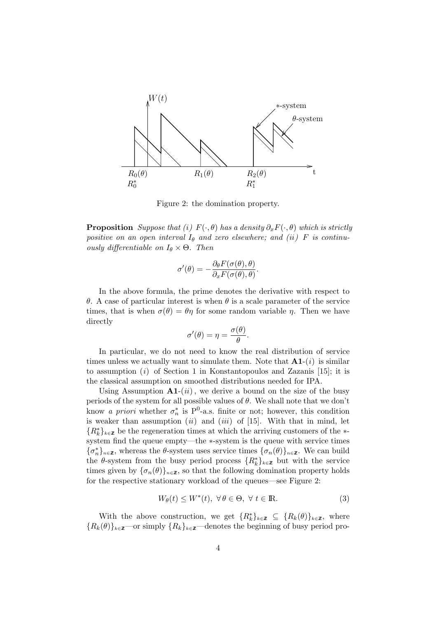

Figure 2: the domination property.

**Proposition** Suppose that (i)  $F(\cdot, \theta)$  has a density  $\partial_x F(\cdot, \theta)$  which is strictly positive on an open interval  $I_{\theta}$  and zero elsewhere; and (ii) F is continuously differentiable on  $I_{\theta} \times \Theta$ . Then

$$
\sigma'(\theta) = -\frac{\partial_{\theta} F(\sigma(\theta), \theta)}{\partial_{x} F(\sigma(\theta), \theta)}.
$$

In the above formula, the prime denotes the derivative with respect to θ. A case of particular interest is when θ is a scale parameter of the service times, that is when  $\sigma(\theta) = \theta \eta$  for some random variable  $\eta$ . Then we have directly

$$
\sigma'(\theta) = \eta = \frac{\sigma(\theta)}{\theta}.
$$

In particular, we do not need to know the real distribution of service times unless we actually want to simulate them. Note that  $A1-(i)$  is similar to assumption  $(i)$  of Section 1 in Konstantopoulos and Zazanis [15]; it is the classical assumption on smoothed distributions needed for IPA.

Using Assumption  $A1-(ii)$ , we derive a bound on the size of the busy periods of the system for all possible values of  $\theta$ . We shall note that we don't know *a priori* whether  $\sigma_n^*$  is P<sup>0</sup>-a.s. finite or not; however, this condition is weaker than assumption  $(ii)$  and  $(iii)$  of [15]. With that in mind, let  ${R^*_k}_{k\in\mathbb{Z}}$  be the regeneration times at which the arriving customers of the ∗system find the queue empty—the ∗-system is the queue with service times  ${\{\sigma_n^*\}}_{n\in\mathbb{Z}}$ , whereas the  $\theta$ -system uses service times  ${\{\sigma_n(\theta)\}}_{n\in\mathbb{Z}}$ . We can build the  $\theta$ -system from the busy period process  $\{R_k^*\}_{k\in\mathbb{Z}}$  but with the service times given by  $\{\sigma_n(\theta)\}_{n\in\mathbb{Z}}$ , so that the following domination property holds for the respective stationary workload of the queues—see Figure 2:

$$
W_{\theta}(t) \le W^*(t), \ \forall \, \theta \in \Theta, \ \forall \, t \in \mathbb{R}.
$$

With the above construction, we get  $\{R_k^*\}_{k\in\mathbb{Z}} \subseteq \{R_k(\theta)\}_{k\in\mathbb{Z}}$ , where  ${R_k(\theta)}_{k \in \mathbb{Z}}$ —or simply  ${R_k}_{k \in \mathbb{Z}}$ —denotes the beginning of busy period pro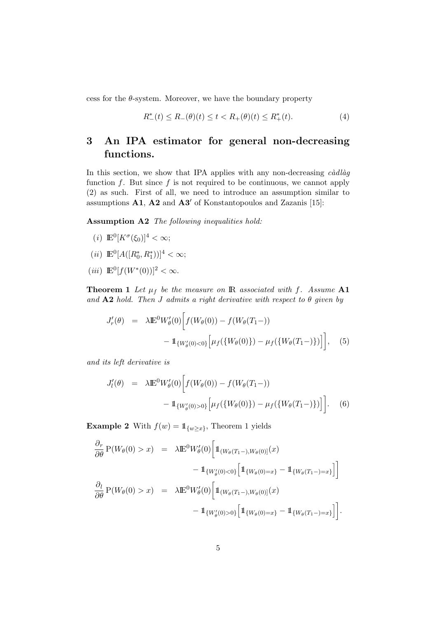cess for the  $\theta$ -system. Moreover, we have the boundary property

$$
R_{-}^{*}(t) \le R_{-}(\theta)(t) \le t < R_{+}(\theta)(t) \le R_{+}^{*}(t). \tag{4}
$$

# 3 An IPA estimator for general non-decreasing functions.

In this section, we show that IPA applies with any non-decreasing  $c\dot{a}dl\dot{a}g$ function  $f$ . But since  $f$  is not required to be continuous, we cannot apply (2) as such. First of all, we need to introduce an assumption similar to assumptions  $\mathbf{A1}$ ,  $\mathbf{A2}$  and  $\mathbf{A3}'$  of Konstantopoulos and Zazanis [15]:

Assumption A2 The following inequalities hold:

- (*i*)  $\mathbb{E}^0[K^\sigma(\xi_0)]^4 < \infty;$
- (*ii*)  $\mathbb{E}^0[A([R_0^*, R_1^*))]^4 < \infty;$
- (*iii*)  $\mathbb{E}^0[f(W^*(0))]^2 < \infty$ .

**Theorem 1** Let  $\mu_f$  be the measure on IR associated with f. Assume A1 and  $A2$  hold. Then J admits a right derivative with respect to  $\theta$  given by

$$
J'_{r}(\theta) = \lambda \mathbb{E}^{0} W'_{\theta}(0) \Big[ f(W_{\theta}(0)) - f(W_{\theta}(T_{1}-)) - 1_{\{W'_{\theta}(0) < 0\}} \Big[ \mu_{f}(\{W_{\theta}(0)\}) - \mu_{f}(\{W_{\theta}(T_{1}-)\}) \Big] \Big], \quad (5)
$$

and its left derivative is

$$
J'_{l}(\theta) = \lambda \mathbb{E}^{0} W_{\theta}'(0) \Big[ f(W_{\theta}(0)) - f(W_{\theta}(T_{1}-)) - 1_{\{W_{\theta}'(0) > 0\}} \Big[ \mu_{f}(\{W_{\theta}(0)\}) - \mu_{f}(\{W_{\theta}(T_{1}-)\}) \Big] \Big]. \tag{6}
$$

**Example 2** With  $f(w) = \mathbb{1}_{\{w \geq x\}}$ , Theorem 1 yields

$$
\frac{\partial_r}{\partial \theta} P(W_{\theta}(0) > x) = \lambda \mathbb{E}^0 W_{\theta}'(0) \left[ \mathbb{1}_{(W_{\theta}(T_1 -), W_{\theta}(0)]}(x) - \mathbb{1}_{\{W_{\theta}'(0) < 0\}} \left[ \mathbb{1}_{\{W_{\theta}(0) = x\}} - \mathbb{1}_{\{W_{\theta}(T_1 -) = x\}} \right] \right]
$$
  

$$
\frac{\partial_l}{\partial \theta} P(W_{\theta}(0) > x) = \lambda \mathbb{E}^0 W_{\theta}'(0) \left[ \mathbb{1}_{(W_{\theta}(T_1 -), W_{\theta}(0)]}(x) - \mathbb{1}_{\{W_{\theta}'(0) > 0\}} \left[ \mathbb{1}_{\{W_{\theta}(0) = x\}} - \mathbb{1}_{\{W_{\theta}(T_1 -) = x\}} \right] \right].
$$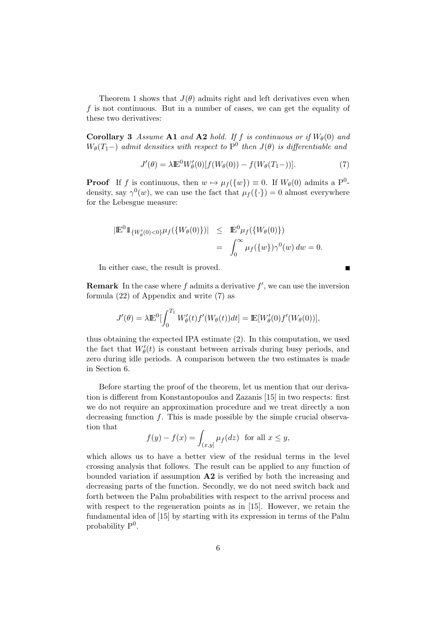Theorem 1 shows that  $J(\theta)$  admits right and left derivatives even when f is not continuous. But in a number of cases, we can get the equality of these two derivatives:

**Corollary 3** Assume A1 and A2 hold. If f is continuous or if  $W_\theta(0)$  and  $W_{\theta}(T_1-)$  admit densities with respect to  $P^0$  then  $J(\theta)$  is differentiable and

$$
J'(\theta) = \lambda \mathbb{E}^0 W_{\theta}'(0) [f(W_{\theta}(0)) - f(W_{\theta}(T_1-))]. \tag{7}
$$

Ē

**Proof** If f is continuous, then  $w \mapsto \mu_f({w}) \equiv 0$ . If  $W_\theta(0)$  admits a P<sup>0</sup>density, say  $\gamma^{0}(w)$ , we can use the fact that  $\mu_{f}(\{\cdot\})=0$  almost everywhere for the Lebesgue measure:

$$
|\mathbb{E}^{0}1_{\{W_{\theta}'(0) < 0\}} \mu_{f}(\{W_{\theta}(0)\})| \leq \mathbb{E}^{0} \mu_{f}(\{W_{\theta}(0)\})
$$
\n
$$
= \int_{0}^{\infty} \mu_{f}(\{w\}) \gamma^{0}(w) \, dw = 0.
$$

In either case, the result is proved.

**Remark** In the case where f admits a derivative  $f'$ , we can use the inversion formula (22) of Appendix and write (7) as

$$
J'(\theta) = \lambda \mathbb{E}^0 \left[ \int_0^{T_1} W'_\theta(t) f'(W_\theta(t)) dt \right] = \mathbb{E} \left[ W'_\theta(0) f'(W_\theta(0)) \right],
$$

thus obtaining the expected IPA estimate (2). In this computation, we used the fact that  $W_{\theta}'(t)$  is constant between arrivals during busy periods, and zero during idle periods. A comparison between the two estimates is made in Section 6.

Before starting the proof of the theorem, let us mention that our derivation is different from Konstantopoulos and Zazanis [15] in two respects: first we do not require an approximation procedure and we treat directly a non decreasing function f. This is made possible by the simple crucial observation that

$$
f(y) - f(x) = \int_{(x,y]} \mu_f(dz) \text{ for all } x \le y,
$$

which allows us to have a better view of the residual terms in the level crossing analysis that follows. The result can be applied to any function of bounded variation if assumption A2 is verified by both the increasing and decreasing parts of the function. Secondly, we do not need switch back and forth between the Palm probabilities with respect to the arrival process and with respect to the regeneration points as in [15]. However, we retain the fundamental idea of [15] by starting with its expression in terms of the Palm probability  $P^0$ .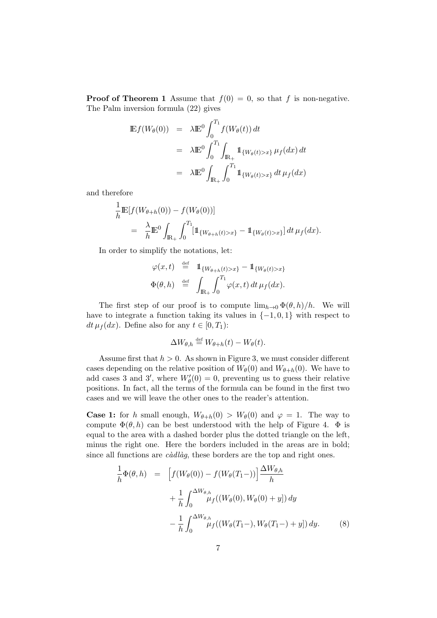**Proof of Theorem 1** Assume that  $f(0) = 0$ , so that f is non-negative. The Palm inversion formula (22) gives

$$
\begin{aligned}\n\mathbb{E}f(W_{\theta}(0)) &= \lambda \mathbb{E}^{0} \int_{0}^{T_{1}} f(W_{\theta}(t)) dt \\
&= \lambda \mathbb{E}^{0} \int_{0}^{T_{1}} \int_{\mathbb{R}_{+}} \mathbb{1}_{\{W_{\theta}(t) > x\}} \mu_{f}(dx) dt \\
&= \lambda \mathbb{E}^{0} \int_{\mathbb{R}_{+}} \int_{0}^{T_{1}} \mathbb{1}_{\{W_{\theta}(t) > x\}} dt \, \mu_{f}(dx)\n\end{aligned}
$$

and therefore

$$
\frac{1}{h} \mathbb{E}[f(W_{\theta+h}(0)) - f(W_{\theta}(0))] \n= \frac{\lambda}{h} \mathbb{E}^{0} \int_{\mathbb{R}_{+}} \int_{0}^{T_{1}} [\mathbb{1}_{\{W_{\theta+h}(t) > x\}} - \mathbb{1}_{\{W_{\theta}(t) > x\}}] dt \, \mu_{f}(dx).
$$

In order to simplify the notations, let:

$$
\varphi(x,t) \stackrel{\text{def}}{=} \mathbb{1}_{\{W_{\theta+h}(t) > x\}} - \mathbb{1}_{\{W_{\theta}(t) > x\}}
$$
  

$$
\Phi(\theta, h) \stackrel{\text{def}}{=} \int_{\mathbb{R}_+} \int_0^{T_1} \varphi(x,t) dt \,\mu_f(dx).
$$

The first step of our proof is to compute  $\lim_{h\to 0} \Phi(\theta,h)/h$ . We will have to integrate a function taking its values in  $\{-1,0,1\}$  with respect to  $dt \mu_f(dx)$ . Define also for any  $t \in [0, T_1)$ :

$$
\Delta W_{\theta,h} \stackrel{\text{def}}{=} W_{\theta+h}(t) - W_{\theta}(t).
$$

Assume first that  $h > 0$ . As shown in Figure 3, we must consider different cases depending on the relative position of  $W_{\theta}(0)$  and  $W_{\theta+h}(0)$ . We have to add cases 3 and 3', where  $W'_{\theta}(0) = 0$ , preventing us to guess their relative positions. In fact, all the terms of the formula can be found in the first two cases and we will leave the other ones to the reader's attention.

**Case 1:** for h small enough,  $W_{\theta+h}(0) > W_{\theta}(0)$  and  $\varphi = 1$ . The way to compute  $\Phi(\theta, h)$  can be best understood with the help of Figure 4.  $\Phi$  is equal to the area with a dashed border plus the dotted triangle on the left, minus the right one. Here the borders included in the areas are in bold; since all functions are *càdlàg*, these borders are the top and right ones.

$$
\frac{1}{h}\Phi(\theta, h) = \left[ f(W_{\theta}(0)) - f(W_{\theta}(T_{1}-)) \right] \frac{\Delta W_{\theta, h}}{h} \n+ \frac{1}{h} \int_{0}^{\Delta W_{\theta, h}} \mu_{f}((W_{\theta}(0), W_{\theta}(0) + y]) dy \n- \frac{1}{h} \int_{0}^{\Delta W_{\theta, h}} \mu_{f}((W_{\theta}(T_{1}-), W_{\theta}(T_{1}-) + y]) dy.
$$
\n(8)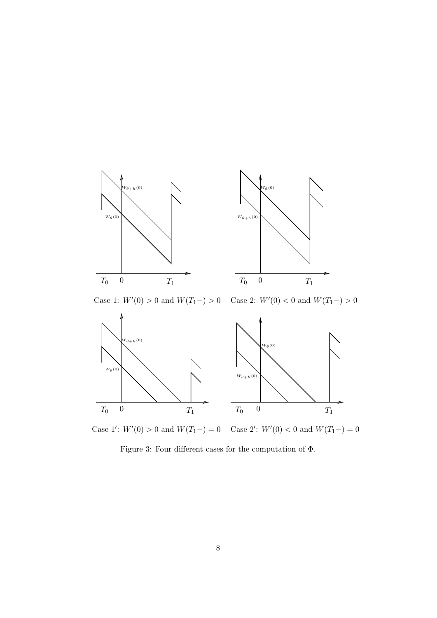

Case 1:  $W'(0) > 0$  and  $W(T_1-) > 0$ Case 2:  $W'(0) < 0$  and  $W(T_1-) > 0$ 



Case 1':  $W'(0) > 0$  and  $W(T_1-) = 0$  Case 2' :  $W'(0) < 0$  and  $W(T_1-) = 0$ 

Figure 3: Four different cases for the computation of  $\Phi.$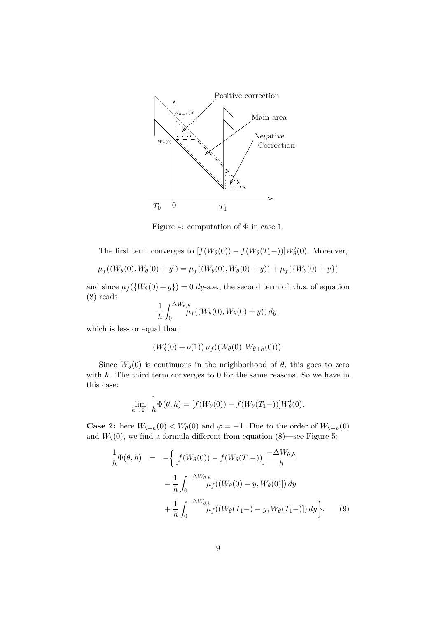

Figure 4: computation of  $\Phi$  in case 1.

The first term converges to  $[f(W_{\theta}(0)) - f(W_{\theta}(T_1-))]W_{\theta}'(0)$ . Moreover,

$$
\mu_f((W_{\theta}(0), W_{\theta}(0) + y]) = \mu_f((W_{\theta}(0), W_{\theta}(0) + y)) + \mu_f(\{W_{\theta}(0) + y\})
$$

and since  $\mu_f({W_\theta(0) + y}) = 0$  dy-a.e., the second term of r.h.s. of equation (8) reads

$$
\frac{1}{h} \int_0^{\Delta W_{\theta,h}} \mu_f((W_{\theta}(0), W_{\theta}(0) + y)) dy,
$$

which is less or equal than

$$
(W'_{\theta}(0) + o(1)) \mu_f((W_{\theta}(0), W_{\theta+h}(0))).
$$

Since  $W_{\theta}(0)$  is continuous in the neighborhood of  $\theta$ , this goes to zero with  $h$ . The third term converges to 0 for the same reasons. So we have in this case:

$$
\lim_{h \to 0+} \frac{1}{h} \Phi(\theta, h) = [f(W_{\theta}(0)) - f(W_{\theta}(T_1-))]W_{\theta}'(0).
$$

**Case 2:** here  $W_{\theta+h}(0) < W_{\theta}(0)$  and  $\varphi = -1$ . Due to the order of  $W_{\theta+h}(0)$ and  $W_{\theta}(0)$ , we find a formula different from equation (8)—see Figure 5:

$$
\frac{1}{h}\Phi(\theta, h) = -\left\{ \left[ f(W_{\theta}(0)) - f(W_{\theta}(T_{1}-)) \right] \frac{-\Delta W_{\theta, h}}{h} - \frac{1}{h} \int_{0}^{-\Delta W_{\theta, h}} \mu_{f}((W_{\theta}(0) - y, W_{\theta}(0))) dy + \frac{1}{h} \int_{0}^{-\Delta W_{\theta, h}} \mu_{f}((W_{\theta}(T_{1}-) - y, W_{\theta}(T_{1}-))) dy \right\}.
$$
\n(9)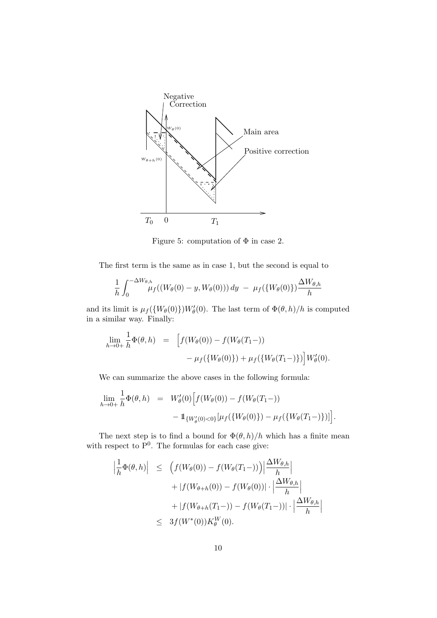

Figure 5: computation of  $\Phi$  in case 2.

The first term is the same as in case 1, but the second is equal to

$$
\frac{1}{h} \int_0^{-\Delta W_{\theta,h}} \mu_f((W_{\theta}(0) - y, W_{\theta}(0))) \, dy \ - \ \mu_f(\{W_{\theta}(0)\}) \frac{\Delta W_{\theta,h}}{h}
$$

and its limit is  $\mu_f({W_{\theta}(0)})W_{\theta}'(0)$ . The last term of  $\Phi(\theta, h)/h$  is computed in a similar way. Finally:

$$
\lim_{h \to 0+} \frac{1}{h} \Phi(\theta, h) = \left[ f(W_{\theta}(0)) - f(W_{\theta}(T_{1}-)) - \mu_{f}(\{W_{\theta}(0)\}) + \mu_{f}(\{W_{\theta}(T_{1}-)\}) \right] W_{\theta}'(0).
$$

We can summarize the above cases in the following formula:

$$
\lim_{h \to 0+} \frac{1}{h} \Phi(\theta, h) = W'_{\theta}(0) \Big[ f(W_{\theta}(0)) - f(W_{\theta}(T_1 -)) - 1_{\{W'_{\theta}(0) < 0\}} [\mu_f(\{W_{\theta}(0)\}) - \mu_f(\{W_{\theta}(T_1 -)\})] \Big].
$$

The next step is to find a bound for  $\Phi(\theta, h)/h$  which has a finite mean with respect to  $P^0$ . The formulas for each case give:

$$
\left| \frac{1}{h} \Phi(\theta, h) \right| \leq \left( f(W_{\theta}(0)) - f(W_{\theta}(T_{1}-)) \right) \left| \frac{\Delta W_{\theta, h}}{h} \right|
$$
  
+ 
$$
\left| f(W_{\theta+h}(0)) - f(W_{\theta}(0)) \right| \cdot \left| \frac{\Delta W_{\theta, h}}{h} \right|
$$
  
+ 
$$
\left| f(W_{\theta+h}(T_{1}-)) - f(W_{\theta}(T_{1}-)) \right| \cdot \left| \frac{\Delta W_{\theta, h}}{h} \right|
$$
  

$$
\leq 3 f(W^*(0)) K_{\theta}^W(0).
$$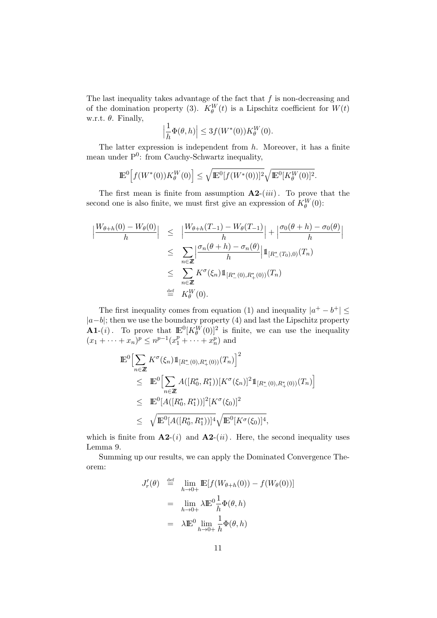The last inequality takes advantage of the fact that  $f$  is non-decreasing and of the domination property (3).  $K_{\theta}^{W}(t)$  is a Lipschitz coefficient for  $W(t)$ w.r.t.  $\theta$ . Finally,

$$
\left|\frac{1}{h}\Phi(\theta,h)\right| \le 3f(W^*(0))K_\theta^W(0).
$$

The latter expression is independent from  $h$ . Moreover, it has a finite mean under  $P^0$ : from Cauchy-Schwartz inequality,

$$
\mathbb{E}^{0}\Big[f(W^{*}(0))K_{\theta}^{W}(0)\Big] \leq \sqrt{\mathbb{E}^{0}[f(W^{*}(0))]^{2}}\sqrt{\mathbb{E}^{0}[K_{\theta}^{W}(0)]^{2}}.
$$

The first mean is finite from assumption  $A2-(iii)$ . To prove that the second one is also finite, we must first give an expression of  $K_{\theta}^W(0)$ :

$$
\left| \frac{W_{\theta+h}(0) - W_{\theta}(0)}{h} \right| \leq \left| \frac{W_{\theta+h}(T_{-1}) - W_{\theta}(T_{-1})}{h} \right| + \left| \frac{\sigma_0(\theta + h) - \sigma_0(\theta)}{h} \right|
$$
  

$$
\leq \sum_{n \in \mathbb{Z}} \left| \frac{\sigma_n(\theta + h) - \sigma_n(\theta)}{h} \right| 1_{[R^*(T_0),0)}(T_n)
$$
  

$$
\leq \sum_{n \in \mathbb{Z}} K^{\sigma}(\xi_n) 1_{[R^*(0),R^*(0))}(T_n)
$$
  

$$
\stackrel{\text{def}}{=} K_{\theta}^W(0).
$$

The first inequality comes from equation (1) and inequality  $|a^+ - b^+| \leq$  $|a-b|$ ; then we use the boundary property (4) and last the Lipschitz property **A1-**(*i*). To prove that  $\mathbb{E}^0[K_\theta^W(0)]^2$  is finite, we can use the inequality  $(x_1 + \cdots + x_n)^p \leq n^{p-1}(x_1^p + \cdots + x_n^p)$  and

$$
\mathbb{E}^{0}\Big[\sum_{n\in\mathbb{Z}} K^{\sigma}(\xi_{n})1\!\!1_{[R_{-}^{*}(0),R_{+}^{*}(0))}(T_{n})\Big]^{2}\n\leq \mathbb{E}^{0}\Big[\sum_{n\in\mathbb{Z}} A([R_{0}^{*},R_{1}^{*}))[K^{\sigma}(\xi_{n})]^{2}1\!\!1_{[R_{-}^{*}(0),R_{+}^{*}(0))}(T_{n})\Big]\n\leq \mathbb{E}^{0}[A([R_{0}^{*},R_{1}^{*}))]^{2}[K^{\sigma}(\xi_{0})]^{2}\n\leq \sqrt{\mathbb{E}^{0}[A([R_{0}^{*},R_{1}^{*}))]^{4}}\sqrt{\mathbb{E}^{0}[K^{\sigma}(\xi_{0})]^{4}},
$$

which is finite from  $A2-(i)$  and  $A2-(ii)$ . Here, the second inequality uses Lemma 9.

Summing up our results, we can apply the Dominated Convergence Theorem:

$$
J'_r(\theta) \stackrel{\text{def}}{=} \lim_{h \to 0+} \mathbb{E}[f(W_{\theta+h}(0)) - f(W_{\theta}(0))]
$$
  

$$
= \lim_{h \to 0+} \lambda \mathbb{E}^0 \frac{1}{h} \Phi(\theta, h)
$$
  

$$
= \lambda \mathbb{E}^0 \lim_{h \to 0+} \frac{1}{h} \Phi(\theta, h)
$$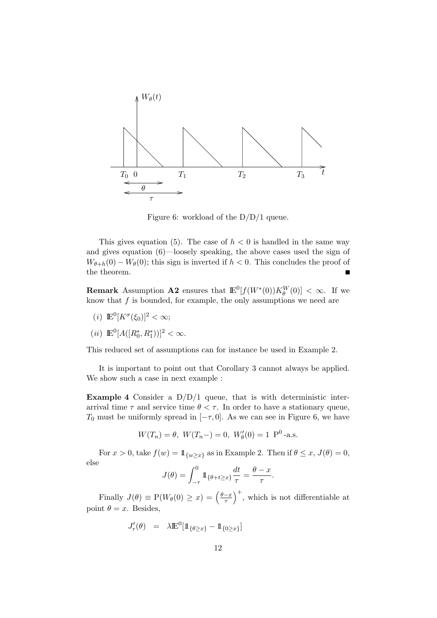

Figure 6: workload of the D/D/1 queue.

This gives equation (5). The case of  $h < 0$  is handled in the same way and gives equation (6)—loosely speaking, the above cases used the sign of  $W_{\theta+h}(0) - W_{\theta}(0)$ ; this sign is inverted if  $h < 0$ . This concludes the proof of the theorem.

**Remark** Assumption **A2** ensures that  $\mathbb{E}^0[f(W^*(0))K_\theta^W(0)] < \infty$ . If we know that  $f$  is bounded, for example, the only assumptions we need are

- (*i*)  $\mathbb{E}^0[K^\sigma(\xi_0)]^2 < \infty;$
- (*ii*)  $\mathbb{E}^0[A([R_0^*, R_1^*))]^2 < \infty$ .

This reduced set of assumptions can for instance be used in Example 2.

It is important to point out that Corollary 3 cannot always be applied. We show such a case in next example :

**Example 4** Consider a  $D/D/1$  queue, that is with deterministic interarrival time  $\tau$  and service time  $\theta < \tau$ . In order to have a stationary queue,  $T_0$  must be uniformly spread in  $[-\tau, 0]$ . As we can see in Figure 6, we have

$$
W(T_n) = \theta
$$
,  $W(T_n-) = 0$ ,  $W'_\theta(0) = 1 \text{ P}^0$ -a.s.

For  $x > 0$ , take  $f(w) = 1_{\{w \ge x\}}$  as in Example 2. Then if  $\theta \le x$ ,  $J(\theta) = 0$ , else

$$
J(\theta) = \int_{-\tau}^{0} 1\!\!1_{\{\theta + t \geq x\}} \frac{dt}{\tau} = \frac{\theta - x}{\tau}.
$$

Finally  $J(\theta) \equiv P(W_{\theta}(0) \geq x) = \left(\frac{\theta - x}{\tau}\right)$  $\left(\frac{-x}{\tau}\right)^+$ , which is not differentiable at point  $\theta = x$ . Besides,

$$
J_r'(\theta) \quad = \quad \lambda \mathbb{E}^0[\mathbb{1}_{\{\theta \ge x\}} - \mathbb{1}_{\{0 \ge x\}}]
$$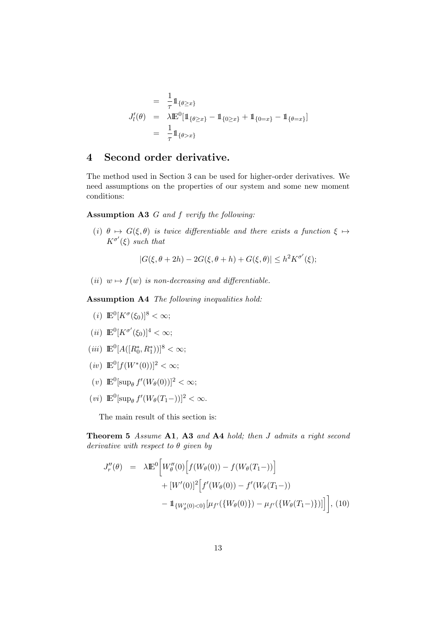$$
= \frac{1}{\tau} 1\!\!1_{\{\theta \ge x\}}
$$
  

$$
J'_{l}(\theta) = \lambda \mathbb{E}^{0}[1\!\!1_{\{\theta \ge x\}} - 1\!\!1_{\{0 \ge x\}} + 1\!\!1_{\{0 = x\}} - 1\!\!1_{\{\theta = x\}}]
$$
  

$$
= \frac{1}{\tau} 1\!\!1_{\{\theta > x\}}
$$

## 4 Second order derivative.

The method used in Section 3 can be used for higher-order derivatives. We need assumptions on the properties of our system and some new moment conditions:

#### Assumption A3 G and f verify the following:

(i)  $\theta \mapsto G(\xi, \theta)$  is twice differentiable and there exists a function  $\xi \mapsto$  $K^{\sigma'}(\xi)$  such that

 $|G(\xi, \theta + 2h) - 2G(\xi, \theta + h) + G(\xi, \theta)| \leq h^2 K^{\sigma'}(\xi);$ 

(ii)  $w \mapsto f(w)$  is non-decreasing and differentiable.

Assumption A4 The following inequalities hold:

- (*i*)  $\mathbb{E}^0[K^\sigma(\xi_0)]^8 < \infty;$
- (*ii*)  $\mathbb{E}^0[K^{\sigma'}(\xi_0)]^4 < \infty;$
- (*iii*)  $\mathbb{E}^0[A([R_0^*, R_1^*))]^8 < \infty;$
- $(iv) \mathbb{E}^0[f(W^*(0))]^2 < \infty;$
- (v)  $\mathbb{E}^0[\sup_{\theta} f'(W_{\theta}(0))]^2 < \infty;$
- (*vi*)  $\mathbb{E}^0[\sup_{\theta} f'(W_{\theta}(T_1-))]^2 < \infty.$

The main result of this section is:

Theorem 5 Assume A1, A3 and A4 hold; then J admits a right second derivative with respect to  $\theta$  given by

$$
J_r''(\theta) = \lambda \mathbb{E}^0 \bigg[ W_\theta''(0) \Big[ f(W_\theta(0)) - f(W_\theta(T_1 -)) \Big] + [W'(0)]^2 \Big[ f'(W_\theta(0)) - f'(W_\theta(T_1 -)) - \mathbb{1}_{\{W_\theta'(0) < 0\}} [\mu_{f'}(\{W_\theta(0)\}) - \mu_{f'}(\{W_\theta(T_1 -)\})] \Big], \tag{10}
$$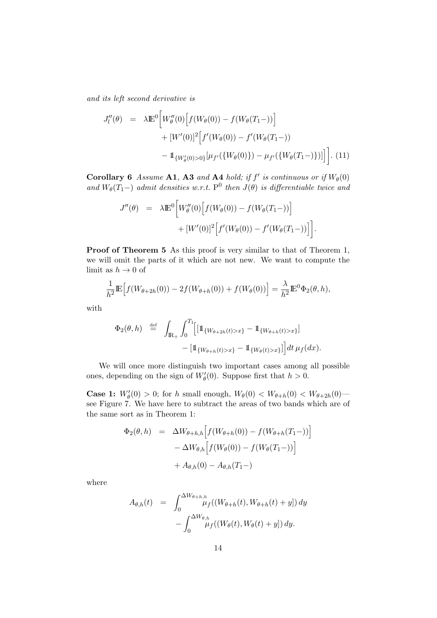and its left second derivative is

$$
J_l''(\theta) = \lambda \mathbb{E}^0 \Big[ W_\theta''(0) \Big[ f(W_\theta(0)) - f(W_\theta(T_1 -)) \Big] + [W'(0)]^2 \Big[ f'(W_\theta(0)) - f'(W_\theta(T_1 -)) - 1_{\{W_\theta'(0) > 0\}} [\mu_{f'}(\{W_\theta(0)\}) - \mu_{f'}(\{W_\theta(T_1 -)\})] \Big].
$$
 (11)

Corollary 6 Assume A1, A3 and A4 hold; if  $f'$  is continuous or if  $W_{\theta}(0)$ and  $W_{\theta}(T_1-)$  admit densities w.r.t. P<sup>0</sup> then  $J(\theta)$  is differentiable twice and

$$
J''(\theta) = \lambda \mathbb{E}^{0} \Big[ W''_{\theta}(0) \Big[ f(W_{\theta}(0)) - f(W_{\theta}(T_{1}-)) \Big] + [W'(0)]^{2} \Big[ f'(W_{\theta}(0)) - f'(W_{\theta}(T_{1}-)) \Big] \Big].
$$

Proof of Theorem 5 As this proof is very similar to that of Theorem 1, we will omit the parts of it which are not new. We want to compute the limit as  $h \to 0$  of

$$
\frac{1}{h^2} \mathbb{E}\Big[f(W_{\theta+2h}(0)) - 2f(W_{\theta+h}(0)) + f(W_{\theta}(0))\Big] = \frac{\lambda}{h^2} \mathbb{E}^0 \Phi_2(\theta, h),
$$

with

$$
\Phi_2(\theta, h) \stackrel{\text{def}}{=} \int_{\mathbb{R}_+} \int_0^{T_1} \Big[ \mathbb{1}_{\{W_{\theta+2h}(t) > x\}} - \mathbb{1}_{\{W_{\theta+h}(t) > x\}} \Big] \n- \big[ \mathbb{1}_{\{W_{\theta+h}(t) > x\}} - \mathbb{1}_{\{W_{\theta}(t) > x\}} \big] \Big] dt \, \mu_f(dx).
$$

We will once more distinguish two important cases among all possible ones, depending on the sign of  $W_{\theta}'(0)$ . Suppose first that  $h > 0$ .

**Case 1:**  $W'_{\theta}(0) > 0$ ; for h small enough,  $W_{\theta}(0) < W_{\theta+h}(0) < W_{\theta+2h}(0)$ see Figure 7. We have here to subtract the areas of two bands which are of the same sort as in Theorem 1:

$$
\Phi_2(\theta, h) = \Delta W_{\theta + h, h} \Big[ f(W_{\theta + h}(0)) - f(W_{\theta + h}(T_1 -)) \Big] \n- \Delta W_{\theta, h} \Big[ f(W_{\theta}(0)) - f(W_{\theta}(T_1 -)) \Big] \n+ A_{\theta, h}(0) - A_{\theta, h}(T_1 -)
$$

where

$$
A_{\theta,h}(t) = \int_0^{\Delta W_{\theta+h,h}} \mu_f((W_{\theta+h}(t), W_{\theta+h}(t)+y]) dy - \int_0^{\Delta W_{\theta,h}} \mu_f((W_{\theta}(t), W_{\theta}(t)+y]) dy.
$$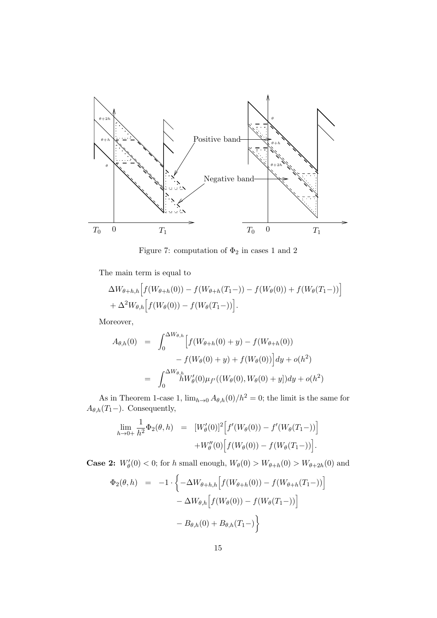

Figure 7: computation of  $\Phi_2$  in cases 1 and 2

The main term is equal to

$$
\Delta W_{\theta+h,h} \Big[ f(W_{\theta+h}(0)) - f(W_{\theta+h}(T_1-)) - f(W_{\theta}(0)) + f(W_{\theta}(T_1-)) \Big] + \Delta^2 W_{\theta,h} \Big[ f(W_{\theta}(0)) - f(W_{\theta}(T_1-)) \Big].
$$

Moreover,

$$
A_{\theta,h}(0) = \int_0^{\Delta W_{\theta,h}} \left[ f(W_{\theta+h}(0) + y) - f(W_{\theta+h}(0)) - f(W_{\theta}(0) + y) + f(W_{\theta}(0)) \right] dy + o(h^2)
$$
  
= 
$$
\int_0^{\Delta W_{\theta,h}} hW_{\theta}'(0) \mu_{f'}((W_{\theta}(0), W_{\theta}(0) + y]) dy + o(h^2)
$$

As in Theorem 1-case 1,  $\lim_{h\to 0} A_{\theta,h}(0)/h^2 = 0$ ; the limit is the same for  $A_{\theta,h}(T_1-)$ . Consequently,

$$
\lim_{h \to 0+} \frac{1}{h^2} \Phi_2(\theta, h) = [W'_\theta(0)]^2 [f'(W_\theta(0)) - f'(W_\theta(T_1-))]
$$
  
+ 
$$
W''_\theta(0) [f(W_\theta(0)) - f(W_\theta(T_1-))].
$$

**Case 2:**  $W'_{\theta}(0) < 0$ ; for h small enough,  $W_{\theta}(0) > W_{\theta+h}(0) > W_{\theta+2h}(0)$  and

$$
\Phi_2(\theta, h) = -1 \cdot \left\{ -\Delta W_{\theta+h,h} \Big[ f(W_{\theta+h}(0)) - f(W_{\theta+h}(T_1-)) \Big] - \Delta W_{\theta,h} \Big[ f(W_{\theta}(0)) - f(W_{\theta}(T_1-)) \Big] - B_{\theta,h}(0) + B_{\theta,h}(T_1-) \right\}
$$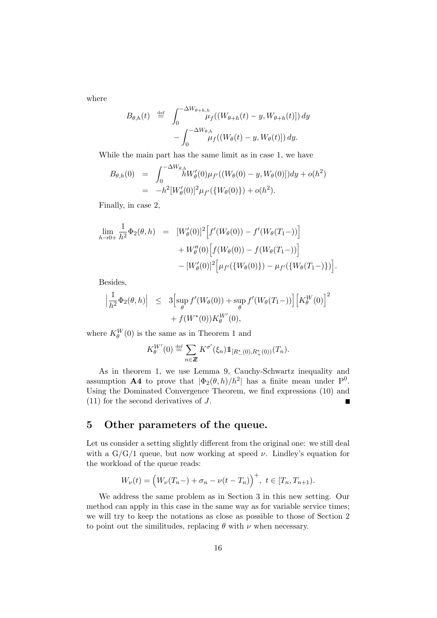where

$$
B_{\theta,h}(t) \stackrel{\text{def}}{=} \int_0^{-\Delta W_{\theta+h,h}} \mu_f((W_{\theta+h}(t) - y, W_{\theta+h}(t)]) dy - \int_0^{-\Delta W_{\theta,h}} \mu_f((W_{\theta}(t) - y, W_{\theta}(t)]) dy.
$$

While the main part has the same limit as in case 1, we have

$$
B_{\theta,h}(0) = \int_0^{-\Delta W_{\theta,h}} hW'_{\theta}(0)\mu_{f'}((W_{\theta}(0) - y, W_{\theta}(0)))dy + o(h^2)
$$
  
=  $-h^2[W'_{\theta}(0)]^2 \mu_{f'}(\{W_{\theta}(0)\}) + o(h^2).$ 

Finally, in case 2,

$$
\lim_{h \to 0+} \frac{1}{h^2} \Phi_2(\theta, h) = [W'_\theta(0)]^2 [f'(W_\theta(0)) - f'(W_\theta(T_1 -))]
$$
  
+  $W''_\theta(0) [f(W_\theta(0)) - f(W_\theta(T_1 -))]$   
-  $[W'_\theta(0)]^2 [\mu_{f'}(\{W_\theta(0)\}) - \mu_{f'}(\{W_\theta(T_1 -)\})].$ 

Besides,

$$
\left| \frac{1}{h^2} \Phi_2(\theta, h) \right| \leq 3 \left[ \sup_{\theta} f'(W_{\theta}(0)) + \sup_{\theta} f'(W_{\theta}(T_1 -)) \right] \left[ K_{\theta}^W(0) \right]^2
$$
  
+  $f(W^*(0)) K_{\theta}^W(0),$ 

where  $K_{\theta}^{W}(0)$  is the same as in Theorem 1 and

$$
K_{\theta}^{W'}(0) \stackrel{\text{def}}{=} \sum_{n \in \mathbb{Z}} K^{\sigma'}(\xi_n) 1\!\!1_{[R^*_{-}(0), R^*_{+}(0))}(T_n).
$$

As in theorem 1, we use Lemma 9, Cauchy-Schwartz inequality and assumption **A4** to prove that  $|\Phi_2(\theta, h)/h^2|$  has a finite mean under P<sup>0</sup>. Using the Dominated Convergence Theorem, we find expressions (10) and (11) for the second derivatives of J.

# 5 Other parameters of the queue.

Let us consider a setting slightly different from the original one: we still deal with a  $G/G/1$  queue, but now working at speed  $\nu$ . Lindley's equation for the workload of the queue reads:

$$
W_{\nu}(t) = (W_{\nu}(T_n -) + \sigma_n - \nu(t - T_n))^{+}, \ t \in [T_n, T_{n+1}).
$$

We address the same problem as in Section 3 in this new setting. Our method can apply in this case in the same way as for variable service times; we will try to keep the notations as close as possible to those of Section 2 to point out the similitudes, replacing  $\theta$  with  $\nu$  when necessary.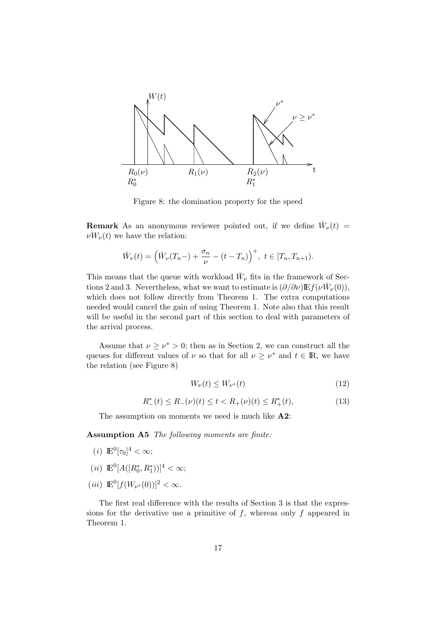

Figure 8: the domination property for the speed

**Remark** As an anonymous reviewer pointed out, if we define  $\bar{W}_{\nu}(t)$  =  $\nu W_{\nu}(t)$  we have the relation:

$$
\bar{W}_{\nu}(t) = \left(\bar{W}_{\nu}(T_n - ) + \frac{\sigma_n}{\nu} - (t - T_n)\right)^+, \ t \in [T_n, T_{n+1}).
$$

This means that the queue with workload  $\bar{W}_{\nu}$  fits in the framework of Sections 2 and 3. Nevertheless, what we want to estimate is  $(\partial/\partial \nu) \mathbb{E} f(\nu \bar{W}_{\nu}(0)),$ which does not follow directly from Theorem 1. The extra computations needed would cancel the gain of using Theorem 1. Note also that this result will be useful in the second part of this section to deal with parameters of the arrival process.

Assume that  $\nu \geq \nu^* > 0$ ; then as in Section 2, we can construct all the queues for different values of  $\nu$  so that for all  $\nu \geq \nu^*$  and  $t \in \mathbb{R}$ , we have the relation (see Figure 8)

$$
W_{\nu}(t) \le W_{\nu^*}(t) \tag{12}
$$

$$
R_{-}^{*}(t) \le R_{-}(\nu)(t) \le t < R_{+}(\nu)(t) \le R_{+}^{*}(t),\tag{13}
$$

The assumption on moments we need is much like  $A2$ :

Assumption A5 The following moments are finite:

- (*i*)  $\mathbb{E}^{0}[\tau_{0}]^{4} < \infty;$
- (*ii*)  $\mathbb{E}^0[A([R_0^*, R_1^*))]^4 < \infty;$
- (*iii*)  $\mathbb{E}^0[f(W_{\nu^*}(0))]^2 < \infty.$

The first real difference with the results of Section 3 is that the expressions for the derivative use a primitive of  $f$ , whereas only  $f$  appeared in Theorem 1.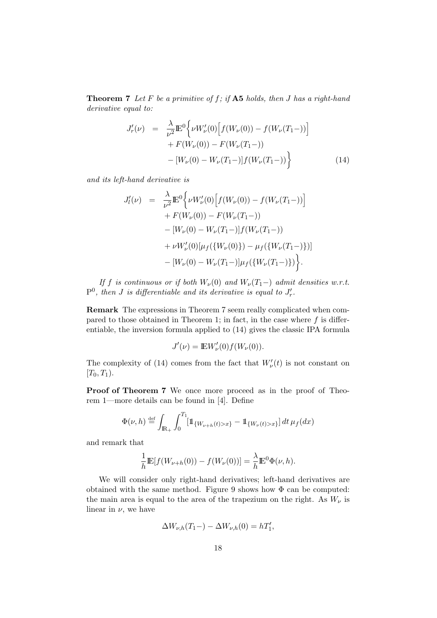**Theorem 7** Let F be a primitive of f; if  $\mathbf{A5}$  holds, then J has a right-hand derivative equal to:

$$
J'_{r}(\nu) = \frac{\lambda}{\nu^{2}} \mathbb{E}^{0} \Big\{ \nu W'_{\nu}(0) \Big[ f(W_{\nu}(0)) - f(W_{\nu}(T_{1}-)) \Big] + F(W_{\nu}(0)) - F(W_{\nu}(T_{1}-)) - [W_{\nu}(0) - W_{\nu}(T_{1}-)] f(W_{\nu}(T_{1}-)) \Big\}
$$
(14)

and its left-hand derivative is

$$
J'_{l}(\nu) = \frac{\lambda}{\nu^{2}} \mathbb{E}^{0} \Big\{ \nu W'_{\nu}(0) \Big[ f(W_{\nu}(0)) - f(W_{\nu}(T_{1}-)) \Big] + F(W_{\nu}(0)) - F(W_{\nu}(T_{1}-)) - [W_{\nu}(0) - W_{\nu}(T_{1}-)] f(W_{\nu}(T_{1}-)) + \nu W'_{\nu}(0) [\mu_{f}(\{W_{\nu}(0)\}) - \mu_{f}(\{W_{\nu}(T_{1}-)\})] - [W_{\nu}(0) - W_{\nu}(T_{1}-)] \mu_{f}(\{W_{\nu}(T_{1}-)\}) \Big\}.
$$

If f is continuous or if both  $W_{\nu}(0)$  and  $W_{\nu}(T_1-)$  admit densities w.r.t.  $P^0$ , then J is differentiable and its derivative is equal to  $J'_r$ .

Remark The expressions in Theorem 7 seem really complicated when compared to those obtained in Theorem 1; in fact, in the case where  $f$  is differentiable, the inversion formula applied to (14) gives the classic IPA formula

$$
J'(\nu) = \mathbb{E}W'_{\nu}(0)f(W_{\nu}(0)).
$$

The complexity of (14) comes from the fact that  $W'_{\nu}(t)$  is not constant on  $[T_0, T_1)$ .

Proof of Theorem 7 We once more proceed as in the proof of Theorem 1—more details can be found in [4]. Define

$$
\Phi(\nu, h) \stackrel{\text{def}}{=} \int_{\mathbb{R}_+} \int_0^{T_1} [\mathbb{1}_{\{W_{\nu+h}(t) > x\}} - \mathbb{1}_{\{W_{\nu}(t) > x\}}] dt \, \mu_f(dx)
$$

and remark that

$$
\frac{1}{h} \mathbb{E}[f(W_{\nu+h}(0)) - f(W_{\nu}(0))] = \frac{\lambda}{h} \mathbb{E}^{0} \Phi(\nu, h).
$$

We will consider only right-hand derivatives; left-hand derivatives are obtained with the same method. Figure 9 shows how  $\Phi$  can be computed: the main area is equal to the area of the trapezium on the right. As  $W_{\nu}$  is linear in  $\nu$ , we have

$$
\Delta W_{\nu,h}(T_1-) - \Delta W_{\nu,h}(0) = hT_1',
$$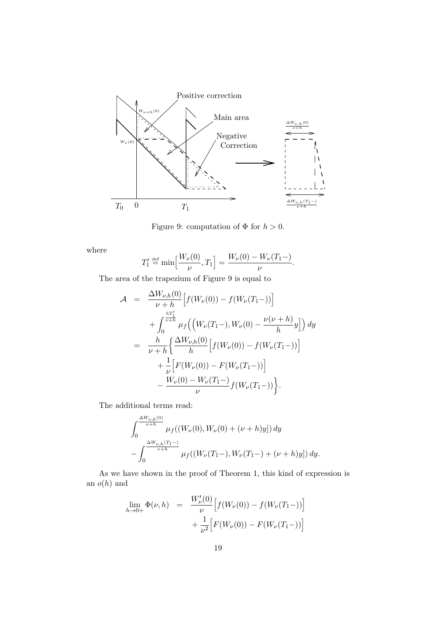

Figure 9: computation of  $\Phi$  for  $h > 0$ .

where

$$
T_1' \stackrel{\text{def}}{=} \min \Big[ \frac{W_\nu(0)}{\nu}, T_1 \Big] = \frac{W_\nu(0) - W_\nu(T_1 -)}{\nu}.
$$

The area of the trapezium of Figure 9 is equal to

$$
\mathcal{A} = \frac{\Delta W_{\nu,h}(0)}{\nu + h} \Big[ f(W_{\nu}(0)) - f(W_{\nu}(T_1 -)) \Big] \n+ \int_0^{\frac{hT_1'}{\nu + h}} \mu_f \Big( \Big( W_{\nu}(T_1 -), W_{\nu}(0) - \frac{\nu(\nu + h)}{h} y \Big] \Big) dy \n= \frac{h}{\nu + h} \Big\{ \frac{\Delta W_{\nu,h}(0)}{h} \Big[ f(W_{\nu}(0)) - f(W_{\nu}(T_1 -)) \Big] \n+ \frac{1}{\nu} \Big[ F(W_{\nu}(0)) - F(W_{\nu}(T_1 -)) \Big] \n- \frac{W_{\nu}(0) - W_{\nu}(T_1 -)}{\nu} f(W_{\nu}(T_1 -)) \Big\}.
$$

The additional terms read:

$$
\int_0^{\frac{\Delta W_{\nu,h}(0)}{\nu+h}} \mu_f((W_{\nu}(0), W_{\nu}(0) + (\nu + h)y]) dy
$$
  

$$
-\int_0^{\frac{\Delta W_{\nu,h}(T_1 -)}{\nu+h}} \mu_f((W_{\nu}(T_1 -), W_{\nu}(T_1 -) + (\nu + h)y]) dy.
$$

As we have shown in the proof of Theorem 1, this kind of expression is an  $o(h)$  and

$$
\lim_{h \to 0+} \Phi(\nu, h) = \frac{W_{\nu}'(0)}{\nu} \Big[ f(W_{\nu}(0)) - f(W_{\nu}(T_1 -)) \Big] + \frac{1}{\nu^2} \Big[ F(W_{\nu}(0)) - F(W_{\nu}(T_1 -)) \Big]
$$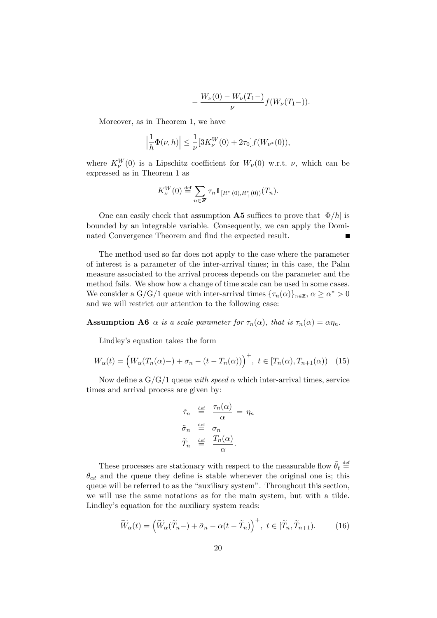$$
-\frac{W_{\nu}(0)-W_{\nu}(T_1-)}{\nu}f(W_{\nu}(T_1-)).
$$

Moreover, as in Theorem 1, we have

$$
\left|\frac{1}{h}\Phi(\nu,h)\right| \le \frac{1}{\nu} [3K_{\nu}^W(0) + 2\tau_0] f(W_{\nu^*}(0)),
$$

where  $K_{\nu}^{W}(0)$  is a Lipschitz coefficient for  $W_{\nu}(0)$  w.r.t.  $\nu$ , which can be expressed as in Theorem 1 as

$$
K_{\nu}^{W}(0) \stackrel{\text{def}}{=} \sum_{n \in \mathbb{Z}} \tau_n 1\!\!1_{[R_{-}^{*}(0), R_{+}^{*}(0))}(T_n).
$$

One can easily check that assumption  $\bf{A5}$  suffices to prove that  $|\Phi/h|$  is bounded by an integrable variable. Consequently, we can apply the Dominated Convergence Theorem and find the expected result.

The method used so far does not apply to the case where the parameter of interest is a parameter of the inter-arrival times; in this case, the Palm measure associated to the arrival process depends on the parameter and the method fails. We show how a change of time scale can be used in some cases. We consider a G/G/1 queue with inter-arrival times  $\{\tau_n(\alpha)\}_{n\in\mathbb{Z}}, \alpha \geq \alpha^* > 0$ and we will restrict our attention to the following case:

**Assumption A6**  $\alpha$  is a scale parameter for  $\tau_n(\alpha)$ , that is  $\tau_n(\alpha) = \alpha \eta_n$ .

Lindley's equation takes the form

$$
W_{\alpha}(t) = \left(W_{\alpha}(T_n(\alpha) -) + \sigma_n - (t - T_n(\alpha))\right)^+, \ t \in [T_n(\alpha), T_{n+1}(\alpha)) \quad (15)
$$

Now define a  $G/G/1$  queue with speed  $\alpha$  which inter-arrival times, service times and arrival process are given by:

$$
\begin{aligned}\n\tilde{\tau}_n & \stackrel{\text{def}}{=} \frac{\tau_n(\alpha)}{\alpha} = \eta_n \\
\tilde{\sigma}_n & \stackrel{\text{def}}{=} \sigma_n \\
\tilde{T}_n & \stackrel{\text{def}}{=} \frac{T_n(\alpha)}{\alpha}.\n\end{aligned}
$$

These processes are stationary with respect to the measurable flow  $\tilde{\theta}_t \stackrel{\text{def}}{=}$  $\theta_{\alpha t}$  and the queue they define is stable whenever the original one is; this queue will be referred to as the "auxiliary system". Throughout this section, we will use the same notations as for the main system, but with a tilde. Lindley's equation for the auxiliary system reads:

$$
\widetilde{W}_{\alpha}(t) = \left(\widetilde{W}_{\alpha}(\widetilde{T}_n -) + \widetilde{\sigma}_n - \alpha(t - \widetilde{T}_n)\right)^+, \ t \in [\widetilde{T}_n, \widetilde{T}_{n+1}).\tag{16}
$$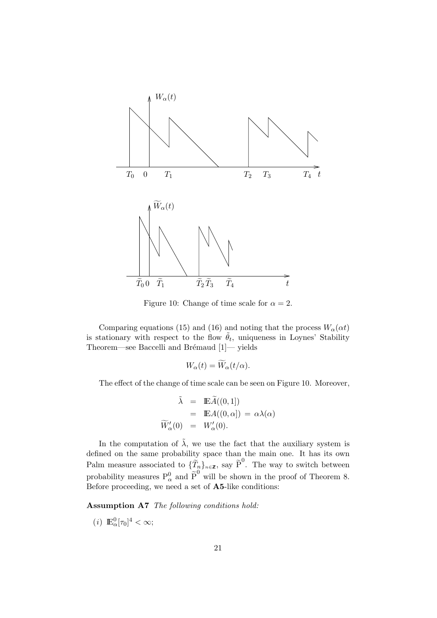

Figure 10: Change of time scale for  $\alpha = 2$ .

Comparing equations (15) and (16) and noting that the process  $W_{\alpha}(\alpha t)$ is stationary with respect to the flow  $\tilde{\theta}_t$ , uniqueness in Loynes' Stability Theorem—see Baccelli and Brémaud [1]— yields

$$
W_{\alpha}(t) = W_{\alpha}(t/\alpha).
$$

The effect of the change of time scale can be seen on Figure 10. Moreover,

$$
\tilde{\lambda} = \mathbb{E}\tilde{A}((0,1])
$$
  
=  $\mathbb{E}A((0,\alpha]) = \alpha\lambda(\alpha)$   

$$
\widetilde{W}'_{\alpha}(0) = W'_{\alpha}(0).
$$

In the computation of  $\tilde{\lambda}$ , we use the fact that the auxiliary system is defined on the same probability space than the main one. It has its own Palm measure associated to  $\{\tilde{T}_n\}_{n\in\mathbb{Z}}$ , say  $\tilde{P}^0$ . The way to switch between probability measures  $P^0_\alpha$  and  $\tilde{P}^0$  will be shown in the proof of Theorem 8. Before proceeding, we need a set of A5-like conditions:

Assumption A7 The following conditions hold:

(*i*)  $\mathbb{E}_{\alpha}^{0}[\tau_{0}]^{4} < \infty;$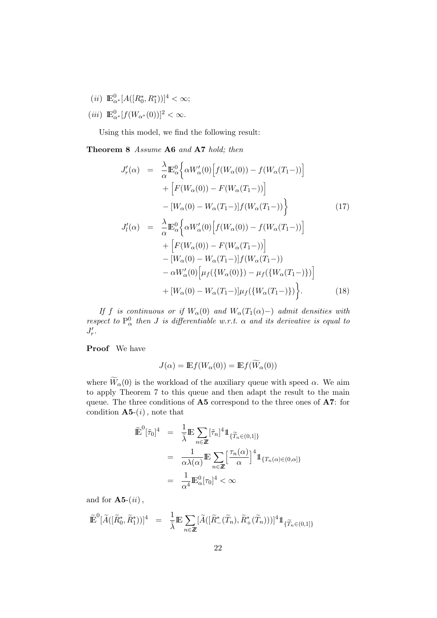- (*ii*)  $\mathbb{E}_{\alpha^*}^0[A([R_0^*, R_1^*))]^4 < \infty;$
- (*iii*)  $\mathbb{E}_{\alpha^*}^0[f(W_{\alpha^*}(0))]^2 < \infty.$

Using this model, we find the following result:

#### Theorem 8 Assume A6 and A7 hold; then

$$
J'_{r}(\alpha) = \frac{\lambda}{\alpha} \mathbb{E}_{\alpha}^{0} \Big\{ \alpha W'_{\alpha}(0) \Big[ f(W_{\alpha}(0)) - f(W_{\alpha}(T_{1}-)) \Big] + \Big[ F(W_{\alpha}(0)) - F(W_{\alpha}(T_{1}-)) \Big] - [W_{\alpha}(0) - W_{\alpha}(T_{1}-)] f(W_{\alpha}(T_{1}-)) \Big\} \qquad (17) J'_{l}(\alpha) = \frac{\lambda}{\alpha} \mathbb{E}_{\alpha}^{0} \Big\{ \alpha W'_{\alpha}(0) \Big[ f(W_{\alpha}(0)) - f(W_{\alpha}(T_{1}-)) \Big] + \Big[ F(W_{\alpha}(0)) - F(W_{\alpha}(T_{1}-)) \Big] - [W_{\alpha}(0) - W_{\alpha}(T_{1}-)] f(W_{\alpha}(T_{1}-)) - \alpha W'_{\alpha}(0) \Big[ \mu_{f} (\{W_{\alpha}(0)\}) - \mu_{f} (\{W_{\alpha}(T_{1}-)\}) \Big] + [W_{\alpha}(0) - W_{\alpha}(T_{1}-)] \mu_{f} (\{W_{\alpha}(T_{1}-)\}) \Big\} . \qquad (18)
$$

If f is continuous or if  $W_\alpha(0)$  and  $W_\alpha(T_1(\alpha) -)$  admit densities with respect to  $P^0_\alpha$  then J is differentiable w.r.t.  $\alpha$  and its derivative is equal to  $J'_r$ .

Proof We have

$$
J(\alpha) = \mathbb{E}f(W_{\alpha}(0)) = \mathbb{E}f(W_{\alpha}(0))
$$

where  $\widetilde{W}_{\alpha}(0)$  is the workload of the auxiliary queue with speed  $\alpha$ . We aim to apply Theorem 7 to this queue and then adapt the result to the main queue. The three conditions of A5 correspond to the three ones of A7: for condition  $A5-(i)$ , note that

$$
\widetilde{\mathbb{E}}^0[\tilde{\tau}_0]^4 = \frac{1}{\tilde{\lambda}} \mathbb{E} \sum_{n \in \mathbb{Z}} [\tilde{\tau}_n]^4 1\!\!1_{\{\widetilde{T}_n \in (0,1]\}}\n\n= \frac{1}{\alpha \lambda(\alpha)} \mathbb{E} \sum_{n \in \mathbb{Z}} \left[\frac{\tau_n(\alpha)}{\alpha}\right]^4 1\!\!1_{\{T_n(\alpha) \in (0,\alpha]\}}\n\n= \frac{1}{\alpha^4} \mathbb{E}^0_\alpha[\tau_0]^4 < \infty
$$

and for  $A5-(ii)$ ,

$$
\widetilde{\mathbb{E}}^0[\widetilde{A}([\widetilde{R}_0^*, \widetilde{R}_1^*))]^4 = \frac{1}{\widetilde{\lambda}} \mathbb{E} \sum_{n \in \mathbb{Z}} [\widetilde{A}([\widetilde{R}_-^*(\widetilde{T}_n), \widetilde{R}_+^*(\widetilde{T}_n)))]^4 1\!\!1_{\{\widetilde{T}_n \in (0,1]\}}
$$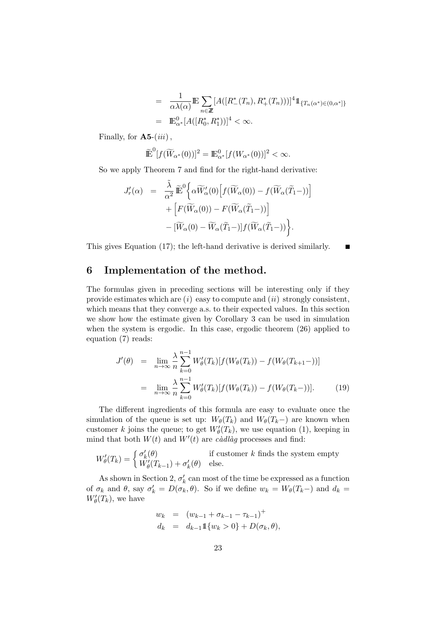$$
= \frac{1}{\alpha\lambda(\alpha)} \mathbb{E} \sum_{n \in \mathbb{Z}} [A([R^*_{-}(T_n), R^*_{+}(T_n)))]^4 1\!\!1_{\{T_n(\alpha^*) \in (0,\alpha^*)\}} \n= \mathbb{E}^0_{\alpha^*}[A([R^*_{0}, R^*_{1}))]^4 < \infty.
$$

П

Finally, for  $A5-(iii)$ ,

$$
\widetilde{\mathbb{E}}^{0}[f(\widetilde{W}_{\alpha^*}(0))]^2 = \mathbb{E}^{0}_{\alpha^*}[f(W_{\alpha^*}(0))]^2 < \infty.
$$

So we apply Theorem 7 and find for the right-hand derivative:

$$
J'_{r}(\alpha) = \frac{\tilde{\lambda}}{\alpha^{2}} \tilde{\mathbb{E}}^{0} \Big\{ \alpha \widetilde{W}'_{\alpha}(0) \Big[ f(\widetilde{W}_{\alpha}(0)) - f(\widetilde{W}_{\alpha}(\widetilde{T}_{1}-)) \Big] + \Big[ F(\widetilde{W}_{\alpha}(0)) - F(\widetilde{W}_{\alpha}(\widetilde{T}_{1}-)) \Big] - [\widetilde{W}_{\alpha}(0) - \widetilde{W}_{\alpha}(\widetilde{T}_{1}-)] f(\widetilde{W}_{\alpha}(\widetilde{T}_{1}-)) \Big\}.
$$

This gives Equation (17); the left-hand derivative is derived similarly.

## 6 Implementation of the method.

The formulas given in preceding sections will be interesting only if they provide estimates which are  $(i)$  easy to compute and  $(ii)$  strongly consistent, which means that they converge a.s. to their expected values. In this section we show how the estimate given by Corollary 3 can be used in simulation when the system is ergodic. In this case, ergodic theorem (26) applied to equation (7) reads:

$$
J'(\theta) = \lim_{n \to \infty} \frac{\lambda}{n} \sum_{k=0}^{n-1} W_{\theta}'(T_k) [f(W_{\theta}(T_k)) - f(W_{\theta}(T_{k+1}-))]
$$
  

$$
= \lim_{n \to \infty} \frac{\lambda}{n} \sum_{k=0}^{n-1} W_{\theta}'(T_k) [f(W_{\theta}(T_k)) - f(W_{\theta}(T_k-))]. \tag{19}
$$

The different ingredients of this formula are easy to evaluate once the simulation of the queue is set up:  $W_{\theta}(T_k)$  and  $W_{\theta}(T_k-)$  are known when customer k joins the queue; to get  $W'_{\theta}(T_k)$ , we use equation (1), keeping in mind that both  $W(t)$  and  $W'(t)$  are *càdlàg* processes and find:

$$
W'_{\theta}(T_k) = \begin{cases} \sigma'_k(\theta) & \text{if customer } k \text{ finds the system empty} \\ W'_{\theta}(T_{k-1}) + \sigma'_k(\theta) & \text{else.} \end{cases}
$$

As shown in Section 2,  $\sigma'_k$  can most of the time be expressed as a function of  $\sigma_k$  and  $\theta$ , say  $\sigma'_k = D(\sigma_k, \theta)$ . So if we define  $w_k = W_{\theta}(T_k-)$  and  $d_k =$  $W'_\theta(T_k)$ , we have

$$
w_k = (w_{k-1} + \sigma_{k-1} - \tau_{k-1})^+
$$
  
\n
$$
d_k = d_{k-1} \mathbb{1} \{ w_k > 0 \} + D(\sigma_k, \theta),
$$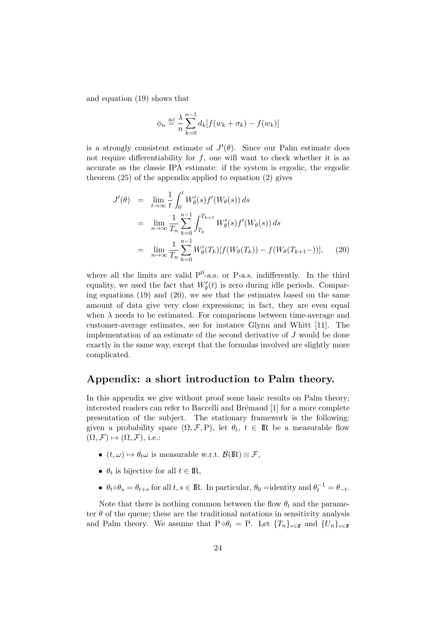and equation (19) shows that

$$
\phi_n \stackrel{\text{def}}{=} \frac{\lambda}{n} \sum_{k=0}^{n-1} d_k [f(w_k + \sigma_k) - f(w_k)]
$$

is a strongly consistent estimate of  $J'(\theta)$ . Since our Palm estimate does not require differentiability for  $f$ , one will want to check whether it is as accurate as the classic IPA estimate: if the system is ergodic, the ergodic theorem (25) of the appendix applied to equation (2) gives

$$
J'(\theta) = \lim_{t \to \infty} \frac{1}{t} \int_0^t W'_\theta(s) f'(W_\theta(s)) ds
$$
  
\n
$$
= \lim_{n \to \infty} \frac{1}{T_n} \sum_{k=0}^{n-1} \int_{T_k}^{T_{k+1}} W'_\theta(s) f'(W_\theta(s)) ds
$$
  
\n
$$
= \lim_{n \to \infty} \frac{1}{T_n} \sum_{k=0}^{n-1} W'_\theta(T_k) [f(W_\theta(T_k)) - f(W_\theta(T_{k+1}-))], \quad (20)
$$

where all the limits are valid  $P^0$ -a.s. or P-a.s. indifferently. In the third equality, we used the fact that  $W'_{\theta}(t)$  is zero during idle periods. Comparing equations (19) and (20), we see that the estimates based on the same amount of data give very close expressions; in fact, they are even equal when  $\lambda$  needs to be estimated. For comparisons between time-average and customer-average estimates, see for instance Glynn and Whitt [11]. The implementation of an estimate of the second derivative of J would be done exactly in the same way, except that the formulas involved are slightly more complicated.

### Appendix: a short introduction to Palm theory.

In this appendix we give without proof some basic results on Palm theory; interested readers can refer to Baccelli and Brémaud [1] for a more complete presentation of the subject. The stationary framework is the following: given a probability space  $(\Omega, \mathcal{F}, P)$ , let  $\theta_t$ ,  $t \in \mathbb{R}$  be a measurable flow  $(\Omega, \mathcal{F}) \mapsto (\Omega, \mathcal{F})$ , i.e.:

- $(t, \omega) \mapsto \theta_t \omega$  is measurable w.r.t.  $\mathcal{B}(\mathbb{R}) \otimes \mathcal{F}$ ,
- $\theta_t$  is bijective for all  $t \in \mathbb{R}$ ,
- $\theta_t \circ \theta_s = \theta_{t+s}$  for all  $t, s \in \mathbb{R}$ . In particular,  $\theta_0 =$ identity and  $\theta_t^{-1} = \theta_{-t}$ .

Note that there is nothing common between the flow  $\theta_t$  and the parameter  $\theta$  of the queue; these are the traditional notations in sensitivity analysis and Palm theory. We assume that  $P \circ \theta_t = P$ . Let  $\{T_n\}_{n \in \mathbb{Z}}$  and  $\{U_n\}_{n \in \mathbb{Z}}$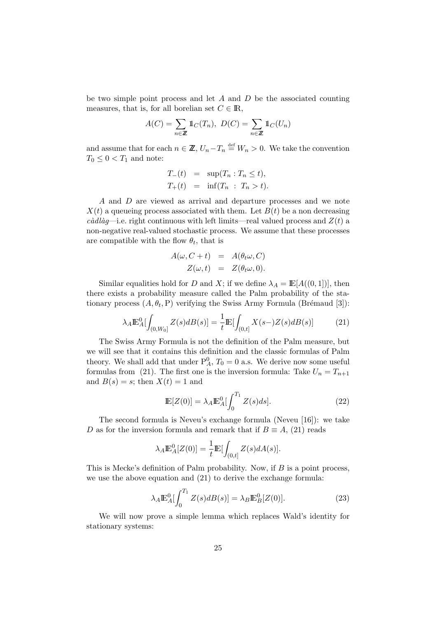be two simple point process and let  $A$  and  $D$  be the associated counting measures, that is, for all borelian set  $C \in \mathbb{R}$ ,

$$
A(C) = \sum_{n \in \mathbb{Z}} \mathbb{1}_C(T_n), \ D(C) = \sum_{n \in \mathbb{Z}} \mathbb{1}_C(U_n)
$$

and assume that for each  $n \in \mathbb{Z}$ ,  $U_n - T_n \stackrel{\text{def}}{=} W_n > 0$ . We take the convention  $T_0 \leq 0 \leq T_1$  and note:

$$
T_{-}(t) = \sup(T_n : T_n \le t),
$$
  

$$
T_{+}(t) = \inf(T_n : T_n > t).
$$

A and D are viewed as arrival and departure processes and we note  $X(t)$  a queueing process associated with them. Let  $B(t)$  be a non decreasing càdlàg—i.e. right continuous with left limits—real valued process and  $Z(t)$  a non-negative real-valued stochastic process. We assume that these processes are compatible with the flow  $\theta_t$ , that is

$$
A(\omega, C + t) = A(\theta_t \omega, C)
$$
  

$$
Z(\omega, t) = Z(\theta_t \omega, 0).
$$

Similar equalities hold for D and X; if we define  $\lambda_A = \mathbb{E}[A((0, 1))],$  then there exists a probability measure called the Palm probability of the stationary process  $(A, \theta_t, P)$  verifying the Swiss Army Formula (Brémaud [3]):

$$
\lambda_A \mathbb{E}_A^0[\int_{(0,W_0]} Z(s) dB(s)] = \frac{1}{t} \mathbb{E}[\int_{(0,t]} X(s-)Z(s) dB(s)] \tag{21}
$$

The Swiss Army Formula is not the definition of the Palm measure, but we will see that it contains this definition and the classic formulas of Palm theory. We shall add that under  $P_A^0$ ,  $T_0 = 0$  a.s. We derive now some useful formulas from (21). The first one is the inversion formula: Take  $U_n = T_{n+1}$ and  $B(s) = s$ ; then  $X(t) = 1$  and

$$
\mathbb{E}[Z(0)] = \lambda_A \mathbb{E}_A^0 \left[ \int_0^{T_1} Z(s)ds \right]. \tag{22}
$$

The second formula is Neveu's exchange formula (Neveu [16]): we take D as for the inversion formula and remark that if  $B \equiv A$ , (21) reads

$$
\lambda_A \mathbb{E}_A^0[Z(0)] = \frac{1}{t} \mathbb{E}[\int_{(0,t]} Z(s) dA(s)].
$$

This is Mecke's definition of Palm probability. Now, if  $B$  is a point process, we use the above equation and (21) to derive the exchange formula:

$$
\lambda_A \mathbb{E}_A^0 \left[ \int_0^{T_1} Z(s) dB(s) \right] = \lambda_B \mathbb{E}_B^0 \left[ Z(0) \right]. \tag{23}
$$

We will now prove a simple lemma which replaces Wald's identity for stationary systems: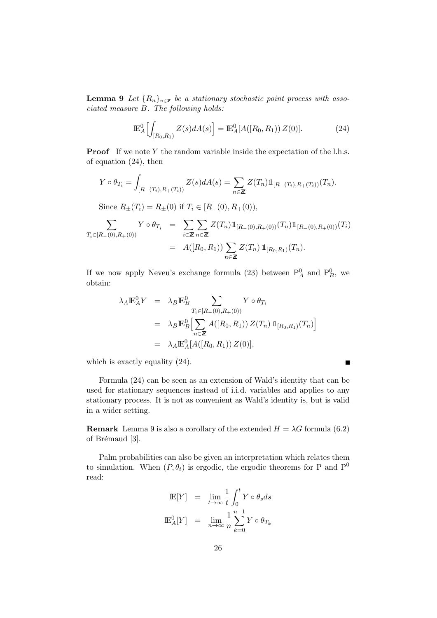**Lemma 9** Let  $\{R_n\}_{n\in\mathbb{Z}}$  be a stationary stochastic point process with associated measure B. The following holds:

$$
\mathbb{E}_{A}^{0}\Big[\int_{[R_{0},R_{1})}Z(s)dA(s)\Big] = \mathbb{E}_{A}^{0}[A([R_{0},R_{1}))Z(0)].
$$
\n(24)

**Proof** If we note Y the random variable inside the expectation of the l.h.s. of equation (24), then

$$
Y \circ \theta_{T_i} = \int_{[R_{-}(T_i), R_{+}(T_i))} Z(s) dA(s) = \sum_{n \in \mathbb{Z}} Z(T_n) 1\!\!1_{[R_{-}(T_i), R_{+}(T_i))}(T_n).
$$

Since  $R_{\pm}(T_i) = R_{\pm}(0)$  if  $T_i \in [R_{-}(0), R_{+}(0)),$ 

$$
\sum_{T_i \in [R_{-}(0), R_{+}(0))} Y \circ \theta_{T_i} = \sum_{i \in \mathbb{Z}} \sum_{n \in \mathbb{Z}} Z(T_n) 1\!\!1_{[R_{-}(0), R_{+}(0))}(T_n) 1\!\!1_{[R_{-}(0), R_{+}(0))}(T_i)
$$
\n
$$
= A([R_0, R_1)) \sum_{n \in \mathbb{Z}} Z(T_n) 1\!\!1_{[R_0, R_1)}(T_n).
$$

If we now apply Neveu's exchange formula (23) between  $P_A^0$  and  $P_B^0$ , we obtain:

$$
\lambda_A \mathbb{E}_A^0 Y = \lambda_B \mathbb{E}_B^0 \sum_{T_i \in [R_{-}(0), R_{+}(0))} Y \circ \theta_{T_i}
$$
  
=  $\lambda_B \mathbb{E}_B^0 \Big[ \sum_{n \in \mathbb{Z}} A([R_0, R_1)) Z(T_n) \mathbb{1}_{[R_0, R_1)}(T_n) \Big]$   
=  $\lambda_A \mathbb{E}_A^0 [A([R_0, R_1)) Z(0)],$ 

which is exactly equality  $(24)$ .

Formula (24) can be seen as an extension of Wald's identity that can be used for stationary sequences instead of i.i.d. variables and applies to any stationary process. It is not as convenient as Wald's identity is, but is valid in a wider setting.

 $\blacksquare$ 

**Remark** Lemma 9 is also a corollary of the extended  $H = \lambda G$  formula (6.2) of Brémaud [3].

Palm probabilities can also be given an interpretation which relates them to simulation. When  $(P, \theta_t)$  is ergodic, the ergodic theorems for P and P<sup>0</sup> read:

$$
\begin{array}{rcl} \mathop{\mathrm{I\!E}}[Y] & = & \lim\limits_{t \to \infty} \frac{1}{t} \int_0^t Y \circ \theta_s ds \\ \mathop{\mathrm{I\!E}}\nolimits^0_A[Y] & = & \lim\limits_{n \to \infty} \frac{1}{n} \sum_{k=0}^{n-1} Y \circ \theta_{T_k} \end{array}
$$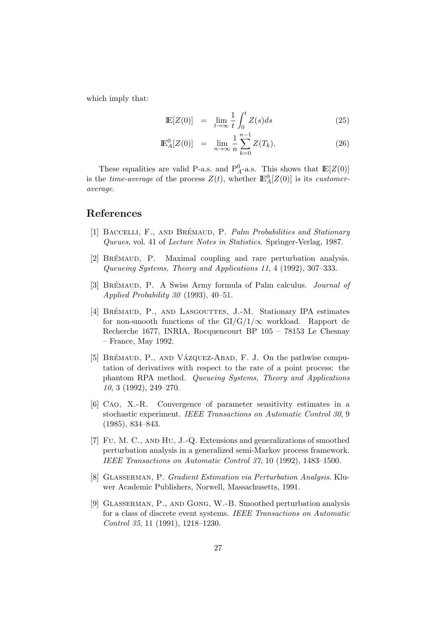which imply that:

$$
\mathbb{E}[Z(0)] = \lim_{t \to \infty} \frac{1}{t} \int_0^t Z(s)ds \tag{25}
$$

$$
\mathbb{E}_{A}^{0}[Z(0)] = \lim_{n \to \infty} \frac{1}{n} \sum_{k=0}^{n-1} Z(T_k).
$$
 (26)

These equalities are valid P-a.s. and  $P_A^0$ -a.s. This shows that  $\mathbb{E}[Z(0)]$ is the *time-average* of the process  $Z(t)$ , whether  $\mathbb{E}^0_A[Z(0)]$  is its *customer*average.

### References

- [1] BACCELLI, F., AND BRÉMAUD, P. Palm Probabilities and Stationary Queues, vol. 41 of Lecture Notes in Statistics. Springer-Verlag, 1987.
- [2] BREMAUD, P. Maximal coupling and rare perturbation analysis. Queueing Systems, Theory and Applications 11, 4 (1992), 307–333.
- [3] BRÉMAUD, P. A Swiss Army formula of Palm calculus. *Journal of* Applied Probability 30 (1993), 40–51.
- [4] BRÉMAUD, P., AND LASGOUTTES, J.-M. Stationary IPA estimates for non-smooth functions of the  $GI/G/1/\infty$  workload. Rapport de Recherche 1677, INRIA, Rocquencourt BP 105 – 78153 Le Chesnay – France, May 1992.
- [5] BRÉMAUD, P., AND VÁZQUEZ-ABAD, F. J. On the pathwise computation of derivatives with respect to the rate of a point process: the phantom RPA method. Queueing Systems, Theory and Applications 10, 3 (1992), 249–270.
- [6] Cao, X.-R. Convergence of parameter sensitivity estimates in a stochastic experiment. IEEE Transactions on Automatic Control 30, 9 (1985), 834–843.
- [7] Fu, M. C., and Hu, J.-Q. Extensions and generalizations of smoothed perturbation analysis in a generalized semi-Markov process framework. IEEE Transactions on Automatic Control 37, 10 (1992), 1483–1500.
- [8] Glasserman, P. Gradient Estimation via Perturbation Analysis. Kluwer Academic Publishers, Norwell, Massachusetts, 1991.
- [9] Glasserman, P., and Gong, W.-B. Smoothed perturbation analysis for a class of discrete event systems. IEEE Transactions on Automatic Control 35, 11 (1991), 1218–1230.